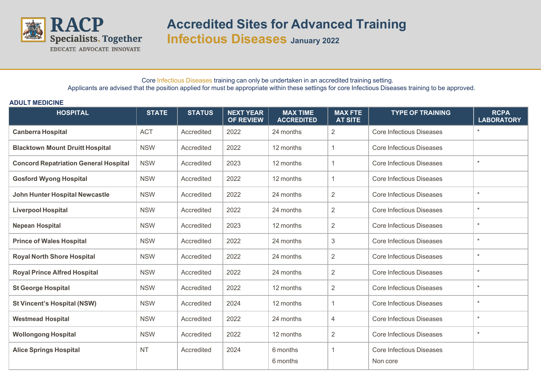

**Accredited Sites for Advanced Training Infectious Diseases January 2022**

Core Infectious Diseases training can only be undertaken in an accredited training setting. Applicants are advised that the position applied for must be appropriate within these settings for core Infectious Diseases training to be approved.

## **ADULT MEDICINE**

| <b>HOSPITAL</b>                              | <b>STATE</b> | <b>STATUS</b> | <b>NEXT YEAR</b><br><b>OF REVIEW</b> | <b>MAX TIME</b><br><b>ACCREDITED</b> | <b>MAX FTE</b><br><b>AT SITE</b> | <b>TYPE OF TRAINING</b>         | <b>RCPA</b><br><b>LABORATORY</b> |
|----------------------------------------------|--------------|---------------|--------------------------------------|--------------------------------------|----------------------------------|---------------------------------|----------------------------------|
| <b>Canberra Hospital</b>                     | <b>ACT</b>   | Accredited    | 2022                                 | 24 months                            | $\overline{2}$                   | <b>Core Infectious Diseases</b> | $\star$                          |
| <b>Blacktown Mount Druitt Hospital</b>       | <b>NSW</b>   | Accredited    | 2022                                 | 12 months                            | 1                                | <b>Core Infectious Diseases</b> |                                  |
| <b>Concord Repatriation General Hospital</b> | <b>NSW</b>   | Accredited    | 2023                                 | 12 months                            | $\mathbf{1}$                     | <b>Core Infectious Diseases</b> | $\star$                          |
| <b>Gosford Wyong Hospital</b>                | <b>NSW</b>   | Accredited    | 2022                                 | 12 months                            | $\mathbf{1}$                     | <b>Core Infectious Diseases</b> |                                  |
| <b>John Hunter Hospital Newcastle</b>        | <b>NSW</b>   | Accredited    | 2022                                 | 24 months                            | 2                                | <b>Core Infectious Diseases</b> | $\star$                          |
| <b>Liverpool Hospital</b>                    | <b>NSW</b>   | Accredited    | 2022                                 | 24 months                            | 2                                | <b>Core Infectious Diseases</b> | $\star$                          |
| <b>Nepean Hospital</b>                       | <b>NSW</b>   | Accredited    | 2023                                 | 12 months                            | 2                                | <b>Core Infectious Diseases</b> | $\star$                          |
| <b>Prince of Wales Hospital</b>              | <b>NSW</b>   | Accredited    | 2022                                 | 24 months                            | $\mathfrak{Z}$                   | <b>Core Infectious Diseases</b> | $\star$                          |
| <b>Royal North Shore Hospital</b>            | <b>NSW</b>   | Accredited    | 2022                                 | 24 months                            | $\sqrt{2}$                       | <b>Core Infectious Diseases</b> | $\star$                          |
| <b>Royal Prince Alfred Hospital</b>          | <b>NSW</b>   | Accredited    | 2022                                 | 24 months                            | $\overline{2}$                   | <b>Core Infectious Diseases</b> | $\star$                          |
| <b>St George Hospital</b>                    | <b>NSW</b>   | Accredited    | 2022                                 | 12 months                            | $\overline{2}$                   | <b>Core Infectious Diseases</b> | $\star$                          |
| <b>St Vincent's Hospital (NSW)</b>           | <b>NSW</b>   | Accredited    | 2024                                 | 12 months                            | 1                                | <b>Core Infectious Diseases</b> | $\star$                          |
| <b>Westmead Hospital</b>                     | <b>NSW</b>   | Accredited    | 2022                                 | 24 months                            | 4                                | <b>Core Infectious Diseases</b> | $\star$                          |
| <b>Wollongong Hospital</b>                   | <b>NSW</b>   | Accredited    | 2022                                 | 12 months                            | $\overline{2}$                   | <b>Core Infectious Diseases</b> | $\star$                          |
| <b>Alice Springs Hospital</b>                | <b>NT</b>    | Accredited    | 2024                                 | 6 months                             | $\mathbf{1}$                     | <b>Core Infectious Diseases</b> |                                  |
|                                              |              |               |                                      | 6 months                             |                                  | Non core                        |                                  |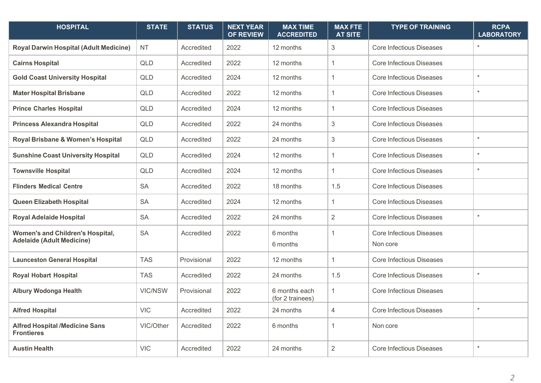| <b>HOSPITAL</b>                                                             | <b>STATE</b> | <b>STATUS</b> | <b>NEXT YEAR</b><br><b>OF REVIEW</b> | <b>MAX TIME</b><br><b>ACCREDITED</b> | <b>MAX FTE</b><br><b>AT SITE</b> | <b>TYPE OF TRAINING</b>                     | <b>RCPA</b><br><b>LABORATORY</b> |
|-----------------------------------------------------------------------------|--------------|---------------|--------------------------------------|--------------------------------------|----------------------------------|---------------------------------------------|----------------------------------|
| <b>Royal Darwin Hospital (Adult Medicine)</b>                               | <b>NT</b>    | Accredited    | 2022                                 | 12 months                            | $\mathfrak{B}$                   | <b>Core Infectious Diseases</b>             | $\star$                          |
| <b>Cairns Hospital</b>                                                      | <b>QLD</b>   | Accredited    | 2022                                 | 12 months                            | $\overline{1}$                   | <b>Core Infectious Diseases</b>             |                                  |
| <b>Gold Coast University Hospital</b>                                       | <b>QLD</b>   | Accredited    | 2024                                 | 12 months                            | $\overline{1}$                   | <b>Core Infectious Diseases</b>             | $\ast$                           |
| <b>Mater Hospital Brisbane</b>                                              | <b>QLD</b>   | Accredited    | 2022                                 | 12 months                            | $\mathbf{1}$                     | <b>Core Infectious Diseases</b>             | $\star$                          |
| <b>Prince Charles Hospital</b>                                              | <b>QLD</b>   | Accredited    | 2024                                 | 12 months                            | $\overline{1}$                   | <b>Core Infectious Diseases</b>             |                                  |
| <b>Princess Alexandra Hospital</b>                                          | QLD          | Accredited    | 2022                                 | 24 months                            | $\mathfrak{Z}$                   | <b>Core Infectious Diseases</b>             |                                  |
| Royal Brisbane & Women's Hospital                                           | <b>QLD</b>   | Accredited    | 2022                                 | 24 months                            | $\sqrt{3}$                       | <b>Core Infectious Diseases</b>             | $\star$                          |
| <b>Sunshine Coast University Hospital</b>                                   | <b>QLD</b>   | Accredited    | 2024                                 | 12 months                            | $\mathbf{1}$                     | <b>Core Infectious Diseases</b>             | $\star$                          |
| <b>Townsville Hospital</b>                                                  | <b>QLD</b>   | Accredited    | 2024                                 | 12 months                            | $\overline{1}$                   | <b>Core Infectious Diseases</b>             | $\star$                          |
| <b>Flinders Medical Centre</b>                                              | <b>SA</b>    | Accredited    | 2022                                 | 18 months                            | 1.5                              | Core Infectious Diseases                    |                                  |
| <b>Queen Elizabeth Hospital</b>                                             | <b>SA</b>    | Accredited    | 2024                                 | 12 months                            | $\overline{1}$                   | <b>Core Infectious Diseases</b>             |                                  |
| <b>Royal Adelaide Hospital</b>                                              | <b>SA</b>    | Accredited    | 2022                                 | 24 months                            | $\overline{2}$                   | <b>Core Infectious Diseases</b>             | $\star$                          |
| <b>Women's and Children's Hospital,</b><br><b>Adelaide (Adult Medicine)</b> | <b>SA</b>    | Accredited    | 2022                                 | 6 months<br>6 months                 | $\overline{1}$                   | <b>Core Infectious Diseases</b><br>Non core |                                  |
| <b>Launceston General Hospital</b>                                          | <b>TAS</b>   | Provisional   | 2022                                 | 12 months                            | $\mathbf{1}$                     | <b>Core Infectious Diseases</b>             |                                  |
| <b>Royal Hobart Hospital</b>                                                | <b>TAS</b>   | Accredited    | 2022                                 | 24 months                            | 1.5                              | <b>Core Infectious Diseases</b>             | $\star$                          |
| <b>Albury Wodonga Health</b>                                                | VIC/NSW      | Provisional   | 2022                                 | 6 months each<br>(for 2 trainees)    | $\overline{1}$                   | <b>Core Infectious Diseases</b>             |                                  |
| <b>Alfred Hospital</b>                                                      | <b>VIC</b>   | Accredited    | 2022                                 | 24 months                            | $\overline{4}$                   | <b>Core Infectious Diseases</b>             | $\star$                          |
| <b>Alfred Hospital /Medicine Sans</b><br><b>Frontieres</b>                  | VIC/Other    | Accredited    | 2022                                 | 6 months                             | $\overline{1}$                   | Non core                                    |                                  |
| <b>Austin Health</b>                                                        | <b>VIC</b>   | Accredited    | 2022                                 | 24 months                            | $\overline{2}$                   | <b>Core Infectious Diseases</b>             | $\ast$                           |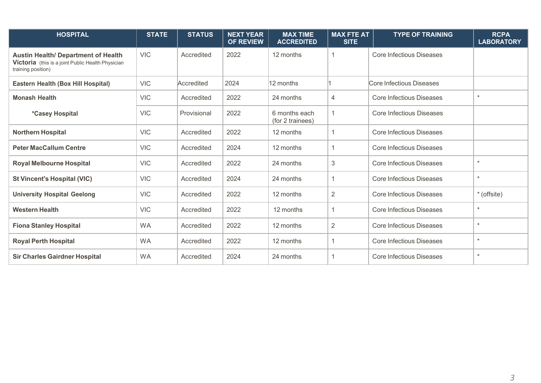| <b>HOSPITAL</b>                                                                                                       | <b>STATE</b> | <b>STATUS</b> | <b>NEXT YEAR</b><br><b>OF REVIEW</b> | <b>MAX TIME</b><br><b>ACCREDITED</b> | <b>MAX FTE AT</b><br><b>SITE</b> | <b>TYPE OF TRAINING</b>         | <b>RCPA</b><br><b>LABORATORY</b> |
|-----------------------------------------------------------------------------------------------------------------------|--------------|---------------|--------------------------------------|--------------------------------------|----------------------------------|---------------------------------|----------------------------------|
| <b>Austin Health/ Department of Health</b><br>Victoria (this is a joint Public Health Physician<br>training position) | <b>VIC</b>   | Accredited    | 2022                                 | 12 months                            |                                  | <b>Core Infectious Diseases</b> |                                  |
| Eastern Health (Box Hill Hospital)                                                                                    | <b>VIC</b>   | Accredited    | 2024                                 | 12 months                            |                                  | Core Infectious Diseases        |                                  |
| <b>Monash Health</b>                                                                                                  | <b>VIC</b>   | Accredited    | 2022                                 | 24 months                            | 4                                | <b>Core Infectious Diseases</b> | $\star$                          |
| <i>*Casey Hospital</i>                                                                                                | <b>VIC</b>   | Provisional   | 2022                                 | 6 months each<br>(for 2 trainees)    |                                  | Core Infectious Diseases        |                                  |
| <b>Northern Hospital</b>                                                                                              | <b>VIC</b>   | Accredited    | 2022                                 | 12 months                            |                                  | <b>Core Infectious Diseases</b> |                                  |
| <b>Peter MacCallum Centre</b>                                                                                         | <b>VIC</b>   | Accredited    | 2024                                 | 12 months                            |                                  | <b>Core Infectious Diseases</b> |                                  |
| <b>Royal Melbourne Hospital</b>                                                                                       | <b>VIC</b>   | Accredited    | 2022                                 | 24 months                            | 3                                | <b>Core Infectious Diseases</b> | $\star$                          |
| <b>St Vincent's Hospital (VIC)</b>                                                                                    | <b>VIC</b>   | Accredited    | 2024                                 | 24 months                            |                                  | <b>Core Infectious Diseases</b> | $\star$                          |
| <b>University Hospital Geelong</b>                                                                                    | <b>VIC</b>   | Accredited    | 2022                                 | 12 months                            | 2                                | <b>Core Infectious Diseases</b> | * (offsite)                      |
| <b>Western Health</b>                                                                                                 | <b>VIC</b>   | Accredited    | 2022                                 | 12 months                            |                                  | <b>Core Infectious Diseases</b> | $\star$                          |
| <b>Fiona Stanley Hospital</b>                                                                                         | <b>WA</b>    | Accredited    | 2022                                 | 12 months                            | $\overline{2}$                   | <b>Core Infectious Diseases</b> | $\star$                          |
| <b>Royal Perth Hospital</b>                                                                                           | <b>WA</b>    | Accredited    | 2022                                 | 12 months                            |                                  | <b>Core Infectious Diseases</b> | $\star$                          |
| <b>Sir Charles Gairdner Hospital</b>                                                                                  | <b>WA</b>    | Accredited    | 2024                                 | 24 months                            |                                  | <b>Core Infectious Diseases</b> | $\star$                          |